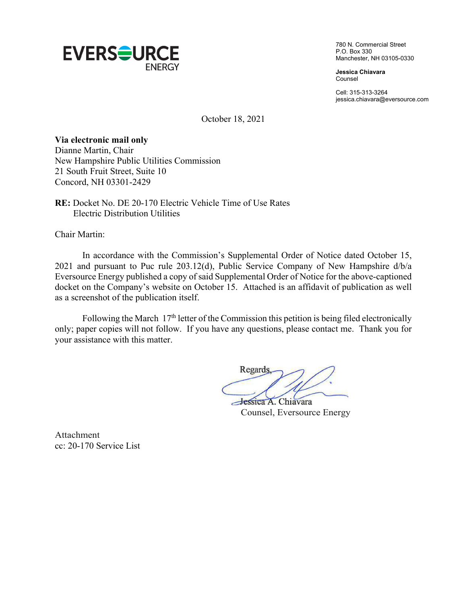

780 N. Commercial Street P.O. Box 330 Manchester, NH 03105-0330

**Jessica Chiavara**  Counsel

Cell: 315-313-3264 jessica.chiavara@eversource.com

October 18, 2021

## **Via electronic mail only**

Dianne Martin, Chair New Hampshire Public Utilities Commission 21 South Fruit Street, Suite 10 Concord, NH 03301-2429

**RE:** Docket No. DE 20-170 Electric Vehicle Time of Use Rates Electric Distribution Utilities

Chair Martin:

In accordance with the Commission's Supplemental Order of Notice dated October 15, 2021 and pursuant to Puc rule 203.12(d), Public Service Company of New Hampshire d/b/a Eversource Energy published a copy of said Supplemental Order of Notice for the above-captioned docket on the Company's website on October 15. Attached is an affidavit of publication as well as a screenshot of the publication itself.

Following the March  $17<sup>th</sup>$  letter of the Commission this petition is being filed electronically only; paper copies will not follow. If you have any questions, please contact me. Thank you for your assistance with this matter.

Regards Jessica A. Chiavara

Counsel, Eversource Energy

Attachment cc: 20-170 Service List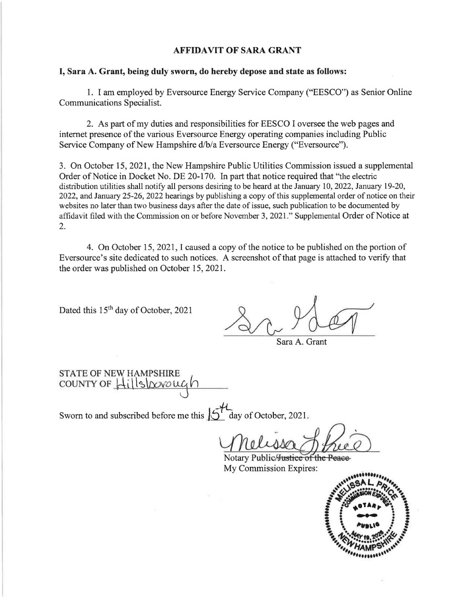## **AFFIDAVIT OF SARA GRANT**

## **I, Sara A. Grant, being duly sworn, do hereby depose and state as follows:**

1. I am employed by Eversource Energy Service Company ("EESCO") as Senior Online Communications Specialist.

2. As part of my duties and responsibilities for EESCO I oversee the web pages and internet presence of the various Eversource Energy operating companies including Public Service Company of New Hampshire d/b/a Eversource Energy ("Eversource").

3. On October 15, 2021, the New Hampshire Public Utilities Commission issued a supplemental Order of Notice in Docket No. DE 20-170. In part that notice required that "the electric distribution utilities shall notify all persons desiring to be heard at the January 10, 2022, January 19-20, 2022, and January 25-26, 2022 hearings by publishing a copy of this supplemental order of notice on their websites no later than two business days after the date of issue, such publication to be documented by affidavit filed with the Commission on or before November 3, 2021." Supplemental Order of Notice at 2.

4. On October 15, 2021, I caused a copy of the notice to be published on the portion of Eversource's site dedicated to such notices. A screenshot of that page is attached to verify that the order was published on October 15, 2021.

Dated this 15<sup>th</sup> day of October, 2021

Sara A. Grant

STATE OF NEW HAMPSHIRE county of  $\frac{1}{1}$  1s <u>ovo</u> ug

Sworn to and subscribed before me this  $\int_0^{\infty}$  day of October, 2021.

Sala A. Grant<br>
Lay of October, 2021.<br>
Mullism Public Hustice of the Peace<br>
My Commission Expires:

My Commission Expires: